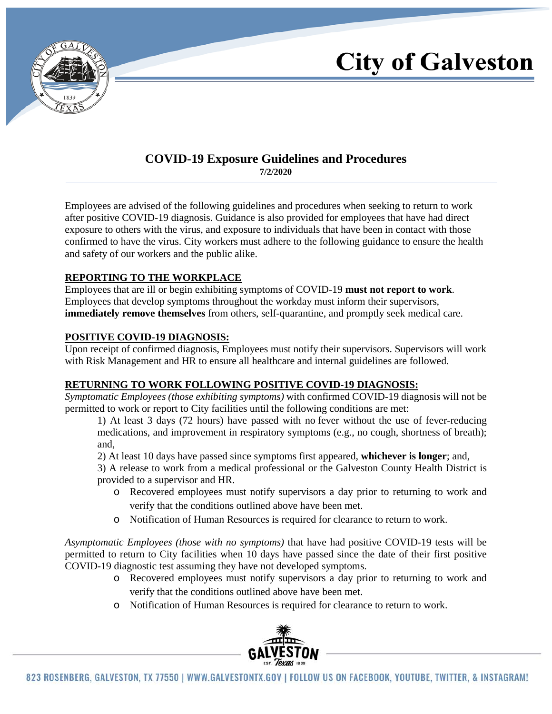

# **City of Galveston**

### **COVID-19 Exposure Guidelines and Procedures**

**7/2/2020**

Employees are advised of the following guidelines and procedures when seeking to return to work after positive COVID-19 diagnosis. Guidance is also provided for employees that have had direct exposure to others with the virus, and exposure to individuals that have been in contact with those confirmed to have the virus. City workers must adhere to the following guidance to ensure the health and safety of our workers and the public alike.

#### **REPORTING TO THE WORKPLACE**

Employees that are ill or begin exhibiting symptoms of COVID-19 **must not report to work**. Employees that develop symptoms throughout the workday must inform their supervisors, **immediately remove themselves** from others, self-quarantine, and promptly seek medical care.

#### **POSITIVE COVID-19 DIAGNOSIS:**

Upon receipt of confirmed diagnosis, Employees must notify their supervisors. Supervisors will work with Risk Management and HR to ensure all healthcare and internal guidelines are followed.

#### **RETURNING TO WORK FOLLOWING POSITIVE COVID-19 DIAGNOSIS:**

*Symptomatic Employees (those exhibiting symptoms)* with confirmed COVID-19 diagnosis will not be permitted to work or report to City facilities until the following conditions are met:

1) At least 3 days (72 hours) have passed with no fever without the use of fever-reducing medications, and improvement in respiratory symptoms (e.g., no cough, shortness of breath); and,

2) At least 10 days have passed since symptoms first appeared, **whichever is longer**; and,

3) A release to work from a medical professional or the Galveston County Health District is provided to a supervisor and HR.

- o Recovered employees must notify supervisors a day prior to returning to work and verify that the conditions outlined above have been met.
- o Notification of Human Resources is required for clearance to return to work.

*Asymptomatic Employees (those with no symptoms)* that have had positive COVID-19 tests will be permitted to return to City facilities when 10 days have passed since the date of their first positive COVID-19 diagnostic test assuming they have not developed symptoms.

- o Recovered employees must notify supervisors a day prior to returning to work and verify that the conditions outlined above have been met.
- o Notification of Human Resources is required for clearance to return to work.